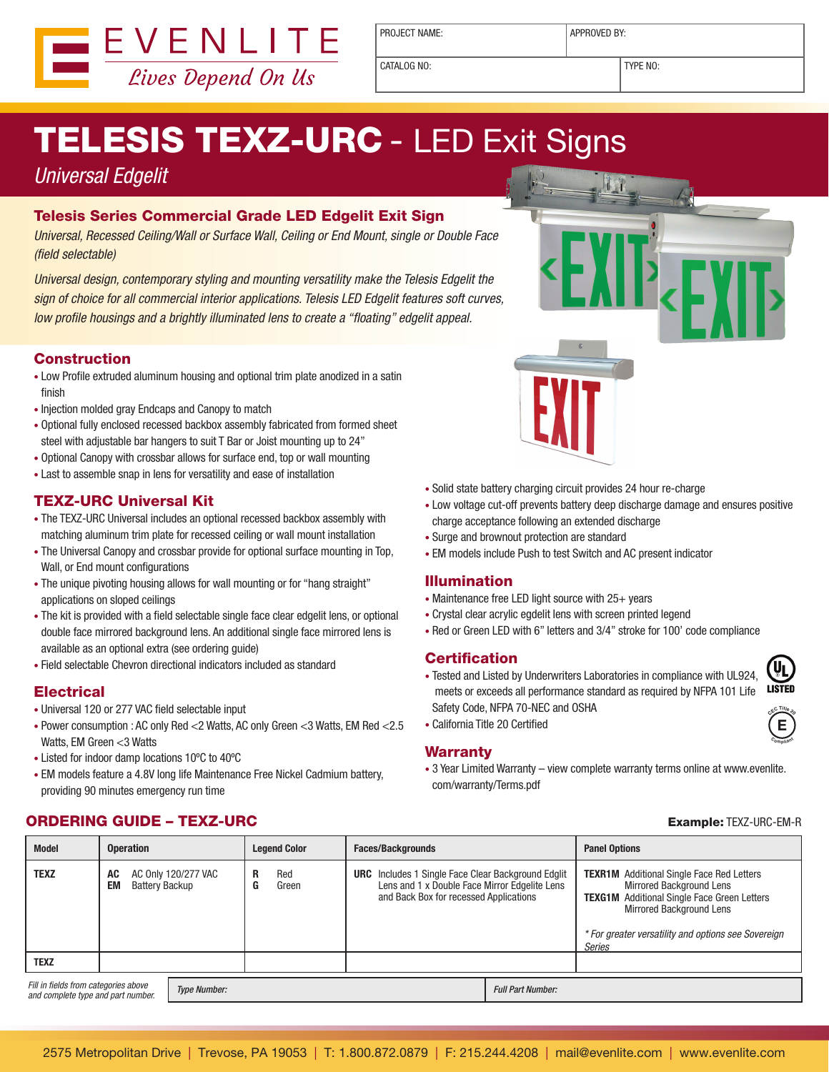

PROJECT NAME:  $\vert$  APPROVED BY:

CATALOG NO: TYPE NO:

# **TELESIS TEXZ-URC - LED Exit Signs**

### Universal Edgelit

#### Telesis Series Commercial Grade LED Edgelit Exit Sign

Universal, Recessed Ceiling/Wall or Surface Wall, Ceiling or End Mount, single or Double Face (field selectable)

Universal design, contemporary styling and mounting versatility make the Telesis Edgelit the sign of choice for all commercial interior applications. Telesis LED Edgelit features soft curves, low profile housings and a brightly illuminated lens to create a "floating" edgelit appeal.

#### **Construction**

- Low Profile extruded aluminum housing and optional trim plate anodized in a satin finish
- • Injection molded gray Endcaps and Canopy to match
- • Optional fully enclosed recessed backbox assembly fabricated from formed sheet steel with adjustable bar hangers to suit T Bar or Joist mounting up to 24"
- Optional Canopy with crossbar allows for surface end, top or wall mounting
- Last to assemble snap in lens for versatility and ease of installation

#### TEXZ-URC Universal Kit

- The TEXZ-URC Universal includes an optional recessed backbox assembly with matching aluminum trim plate for recessed ceiling or wall mount installation
- The Universal Canopy and crossbar provide for optional surface mounting in Top, Wall, or End mount configurations
- The unique pivoting housing allows for wall mounting or for "hang straight" applications on sloped ceilings
- The kit is provided with a field selectable single face clear edgelit lens, or optional double face mirrored background lens. An additional single face mirrored lens is available as an optional extra (see ordering guide)
- • Field selectable Chevron directional indicators included as standard

#### **Electrical**

- Universal 120 or 277 VAC field selectable input
- • Power consumption : AC only Red <2 Watts, AC only Green <3 Watts, EM Red <2.5 Watts, EM Green <3 Watts
- • Listed for indoor damp locations 10ºC to 40ºC
- EM models feature a 4.8V long life Maintenance Free Nickel Cadmium battery, providing 90 minutes emergency run time
- Solid state battery charging circuit provides 24 hour re-charge
- • Low voltage cut-off prevents battery deep discharge damage and ensures positive charge acceptance following an extended discharge
- • Surge and brownout protection are standard
- EM models include Push to test Switch and AC present indicator

#### Illumination

- Maintenance free LED light source with  $25+$  years
- Crystal clear acrylic egdelit lens with screen printed legend
- Red or Green LED with 6" letters and 3/4" stroke for 100' code compliance

#### **Certification**

- Tested and Listed by Underwriters Laboratories in compliance with UL924, meets or exceeds all performance standard as required by NFPA 101 Life Safety Code, NFPA 70-NEC and OSHA
- • California Title 20 Certified

#### Warranty

• 3 Year Limited Warranty – view complete warranty terms online at www.evenlite. com/warranty/Terms.pdf

### ORDERING GUIDE – TEXZ-URC Example: TEXZ-URC-EM-R

| <b>Model</b>                                                                                      | <b>Operation</b>                                         |  | <b>Leaend Color</b> |              | <b>Faces/Backgrounds</b>                                                                                                                             |  | <b>Panel Options</b>                                                                                                                                                                                                                                 |  |  |
|---------------------------------------------------------------------------------------------------|----------------------------------------------------------|--|---------------------|--------------|------------------------------------------------------------------------------------------------------------------------------------------------------|--|------------------------------------------------------------------------------------------------------------------------------------------------------------------------------------------------------------------------------------------------------|--|--|
| <b>TEXZ</b>                                                                                       | AC 0nly 120/277 VAC<br>AC<br>EM<br><b>Battery Backup</b> |  | R<br>G              | Red<br>Green | <b>URC</b> Includes 1 Single Face Clear Background Edglit<br>Lens and 1 x Double Face Mirror Edgelite Lens<br>and Back Box for recessed Applications |  | <b>TEXR1M</b> Additional Single Face Red Letters<br><b>Mirrored Background Lens</b><br><b>TEXG1M</b> Additional Single Face Green Letters<br><b>Mirrored Background Lens</b><br>* For greater versatility and options see Sovereign<br><b>Series</b> |  |  |
| <b>TEXZ</b>                                                                                       |                                                          |  |                     |              |                                                                                                                                                      |  |                                                                                                                                                                                                                                                      |  |  |
| Fill in fields from categories above<br><b>Type Number:</b><br>and complete type and part number. |                                                          |  |                     |              |                                                                                                                                                      |  | <b>Full Part Number:</b>                                                                                                                                                                                                                             |  |  |



**E**

**<sup>C</sup>omplian<sup>t</sup>**